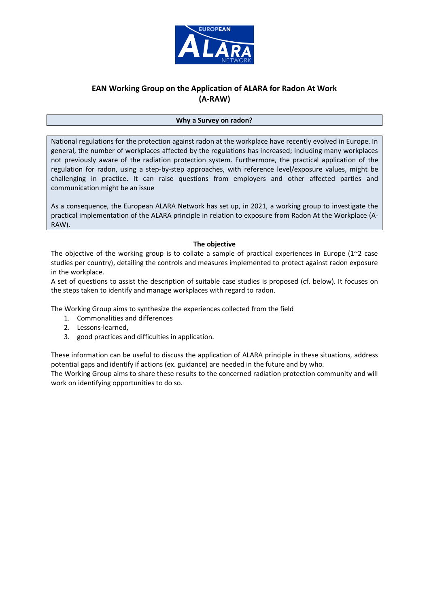

# **EAN Working Group on the Application of ALARA for Radon At Work (A-RAW)**

#### **Why a Survey on radon?**

National regulations for the protection against radon at the workplace have recently evolved in Europe. In general, the number of workplaces affected by the regulations has increased; including many workplaces not previously aware of the radiation protection system. Furthermore, the practical application of the regulation for radon, using a step-by-step approaches, with reference level/exposure values, might be challenging in practice. It can raise questions from employers and other affected parties and communication might be an issue

As a consequence, the European ALARA Network has set up, in 2021, a working group to investigate the practical implementation of the ALARA principle in relation to exposure from Radon At the Workplace (A-RAW).

## **The objective**

The objective of the working group is to collate a sample of practical experiences in Europe ( $1^{\sim}2$  case studies per country), detailing the controls and measures implemented to protect against radon exposure in the workplace.

A set of questions to assist the description of suitable case studies is proposed (cf. below). It focuses on the steps taken to identify and manage workplaces with regard to radon.

The Working Group aims to synthesize the experiences collected from the field

- 1. Commonalities and differences
- 2. Lessons-learned,
- 3. good practices and difficulties in application.

These information can be useful to discuss the application of ALARA principle in these situations, address potential gaps and identify if actions (ex. guidance) are needed in the future and by who. The Working Group aims to share these results to the concerned radiation protection community and will

work on identifying opportunities to do so.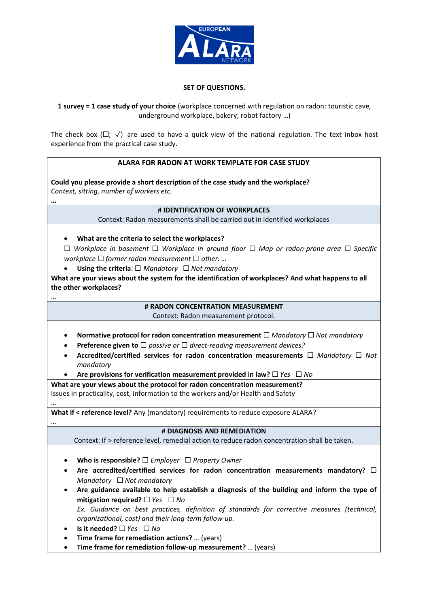

## **SET OF QUESTIONS.**

**1 survey = 1 case study of your choice** (workplace concerned with regulation on radon: touristic cave, underground workplace, bakery, robot factory …)

The check box ( $\square$ ;  $\checkmark$ ) are used to have a quick view of the national regulation. The text inbox host experience from the practical case study.

## **ALARA FOR RADON AT WORK TEMPLATE FOR CASE STUDY**

**Could you please provide a short description of the case study and the workplace?** *Context, sitting, number of workers etc.*

## **# IDENTIFICATION OF WORKPLACES**

Context: Radon measurements shall be carried out in identified workplaces

• **What are the criteria to select the workplaces?**

**…**

…

…

…

☐ *Workplace in basement* ☐ *Workplace in ground floor* ☐ *Map or radon-prone area* ☐ *Specific workplace* ☐ *former radon measurement* ☐ *other: …*

• **Using the criteria**: ☐ *Mandatory* ☐ *Not mandatory*

**What are your views about the system for the identification of workplaces? And what happens to all the other workplaces?**

## **# RADON CONCENTRATION MEASUREMENT**

Context: Radon measurement protocol.

- **Normative protocol for radon concentration measurement** ☐ *Mandatory* ☐ *Not mandatory*
- **Preference given to** ☐ *passive or* ☐ *direct-reading measurement devices?*
- **Accredited/certified services for radon concentration measurements** ☐ *Mandatory* ☐ *Not mandatory*

• **Are provisions for verification measurement provided in law?** ☐ *Yes* ☐ *No*

**What are your views about the protocol for radon concentration measurement?**  Issues in practicality, cost, information to the workers and/or Health and Safety

**What if < reference level?** Any (mandatory) requirements to reduce exposure ALARA?

## **# DIAGNOSIS AND REMEDIATION**

Context: If > reference level, remedial action to reduce radon concentration shall be taken.

- **Who is responsible?** ☐ *Employer* ☐ *Property Owner*
- **Are accredited/certified services for radon concentration measurements mandatory?** ☐ *Mandatory* ☐ *Not mandatory*
- **Are guidance available to help establish a diagnosis of the building and inform the type of mitigation required?** ☐ *Yes* ☐ *No Ex. Guidance on best practices, definition of standards for corrective measures (technical, organizational, cost) and their long-term follow-up.*
- **Is it needed?** ☐ *Yes* ☐ *No*
- **Time frame for remediation actions?** … (years)
- **Time frame for remediation follow-up measurement?** … (years)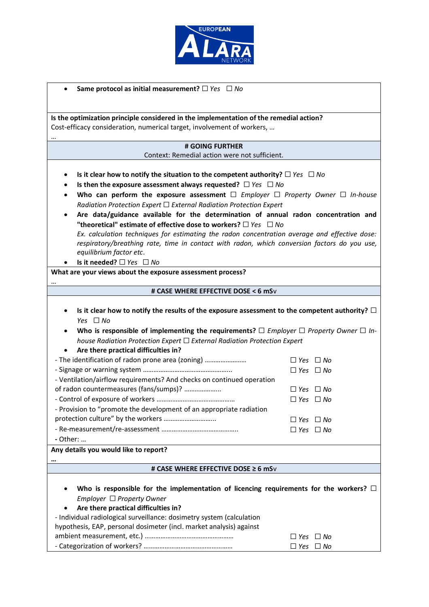

| Same protocol as initial measurement? $\Box$ Yes $\Box$ No                                            |                      |  |  |
|-------------------------------------------------------------------------------------------------------|----------------------|--|--|
|                                                                                                       |                      |  |  |
|                                                                                                       |                      |  |  |
| Is the optimization principle considered in the implementation of the remedial action?                |                      |  |  |
| Cost-efficacy consideration, numerical target, involvement of workers,                                |                      |  |  |
| # GOING FURTHER                                                                                       |                      |  |  |
| Context: Remedial action were not sufficient.                                                         |                      |  |  |
|                                                                                                       |                      |  |  |
| Is it clear how to notify the situation to the competent authority? $\Box$ Yes $\Box$ No<br>$\bullet$ |                      |  |  |
| Is then the exposure assessment always requested? $\Box$ Yes $\Box$ No<br>٠                           |                      |  |  |
| Who can perform the exposure assessment $\Box$ Employer $\Box$ Property Owner $\Box$ In-house<br>٠    |                      |  |  |
| Radiation Protection Expert $\Box$ External Radiation Protection Expert                               |                      |  |  |
| Are data/guidance available for the determination of annual radon concentration and                   |                      |  |  |
| "theoretical" estimate of effective dose to workers? $\Box$ Yes $\Box$ No                             |                      |  |  |
| Ex. calculation techniques for estimating the radon concentration average and effective dose:         |                      |  |  |
| respiratory/breathing rate, time in contact with radon, which conversion factors do you use,          |                      |  |  |
| equilibrium factor etc.                                                                               |                      |  |  |
| Is it needed? $\Box$ Yes $\Box$ No                                                                    |                      |  |  |
| What are your views about the exposure assessment process?                                            |                      |  |  |
| # CASE WHERE EFFECTIVE DOSE < 6 mSv                                                                   |                      |  |  |
|                                                                                                       |                      |  |  |
| Is it clear how to notify the results of the exposure assessment to the competent authority? $\Box$   |                      |  |  |
| Yes $\Box$ No                                                                                         |                      |  |  |
| Who is responsible of implementing the requirements? $\Box$ Employer $\Box$ Property Owner $\Box$ In- |                      |  |  |
| house Radiation Protection Expert $\Box$ External Radiation Protection Expert                         |                      |  |  |
| Are there practical difficulties in?                                                                  |                      |  |  |
| - The identification of radon prone area (zoning)                                                     | $\Box$ Yes $\Box$ No |  |  |
|                                                                                                       | $\Box$ Yes $\Box$ No |  |  |
| - Ventilation/airflow requirements? And checks on continued operation                                 |                      |  |  |
| of radon countermeasures (fans/sumps)?                                                                | $\Box$ Yes $\Box$ No |  |  |
|                                                                                                       | $\Box$ Yes $\Box$ No |  |  |
| - Provision to "promote the development of an appropriate radiation                                   |                      |  |  |
|                                                                                                       | $\Box$ Yes $\Box$ No |  |  |
|                                                                                                       | $\Box$ Yes $\Box$ No |  |  |
| - Other:                                                                                              |                      |  |  |
| Any details you would like to report?                                                                 |                      |  |  |
|                                                                                                       |                      |  |  |
| # CASE WHERE EFFECTIVE DOSE ≥ 6 mSv                                                                   |                      |  |  |
| Who is responsible for the implementation of licencing requirements for the workers? $\square$        |                      |  |  |
| Employer $\Box$ Property Owner                                                                        |                      |  |  |
| Are there practical difficulties in?                                                                  |                      |  |  |
| - Individual radiological surveillance: dosimetry system (calculation                                 |                      |  |  |
| hypothesis, EAP, personal dosimeter (incl. market analysis) against                                   |                      |  |  |
|                                                                                                       | $\Box$ Yes $\Box$ No |  |  |
|                                                                                                       | $\Box$ Yes $\Box$ No |  |  |